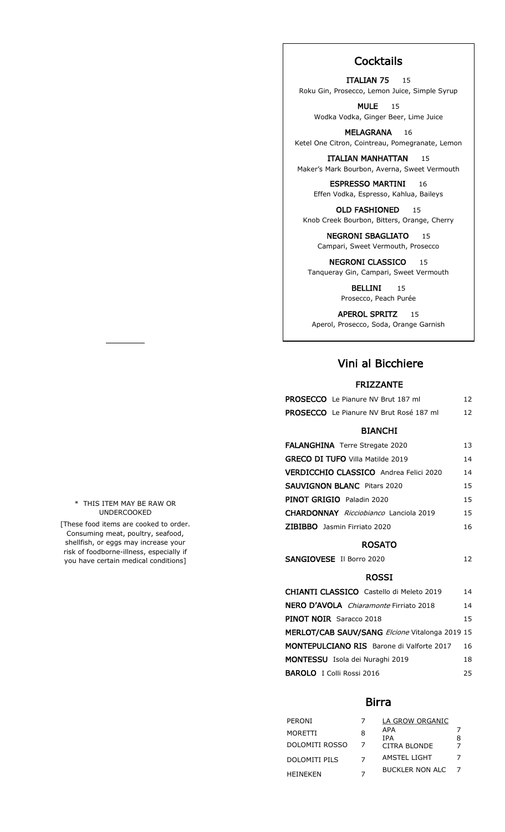# **Cocktails**

**ITALIAN 75** 15 Roku Gin, Prosecco, Lemon Juice, Simple Syrup

MULE 15 Wodka Vodka, Ginger Beer, Lime Juice

MELAGRANA 16 Ketel One Citron, Cointreau, Pomegranate, Lemon

ITALIAN MANHATTAN 15 Maker's Mark Bourbon, Averna, Sweet Vermouth

**ESPRESSO MARTINI** 16 Effen Vodka, Espresso, Kahlua, Baileys

OLD FASHIONED 15 Knob Creek Bourbon, Bitters, Orange, Cherry

NEGRONI SBAGLIATO 15 Campari, Sweet Vermouth, Prosecco

**NEGRONI CLASSICO** 15 Tanqueray Gin, Campari, Sweet Vermouth

> BELLINI 15 Prosecco, Peach Purée

APEROL SPRITZ 15 Aperol, Prosecco, Soda, Orange Garnish

# Vini al Bicchiere

### FRIZZANTE

| <b>PROSECCO</b> Le Pianure NV Brut 187 ml      | 12. |
|------------------------------------------------|-----|
| <b>PROSECCO</b> Le Pianure NV Brut Rosé 187 ml | 12. |

### BIANCHI

| <b>FALANGHINA</b> Terre Stregate 2020               | 13 |
|-----------------------------------------------------|----|
| <b>GRECO DI TUFO Villa Matilde 2019</b>             | 14 |
| <b>VERDICCHIO CLASSICO</b> Andrea Felici 2020       | 14 |
| <b>SAUVIGNON BLANC</b> Pitars 2020                  | 15 |
| <b>PINOT GRIGIO</b> Paladin 2020                    | 15 |
| <b>CHARDONNAY</b> <i>Ricciobianco</i> Lanciola 2019 | 15 |
| <b>ZIBIBBO</b> Jasmin Firriato 2020                 | 16 |

#### ROSATO

| SANGIOVESE Il Borro 2020 |  |
|--------------------------|--|
|                          |  |

#### ROSSI

| CHIANTI CLASSICO Castello di Meleto 2019       | 14 |
|------------------------------------------------|----|
| <b>NERO D'AVOLA</b> Chiaramonte Firriato 2018  | 14 |
| <b>PINOT NOIR</b> Saracco 2018                 | 15 |
| MERLOT/CAB SAUV/SANG Elcione Vitalonga 2019 15 |    |
| MONTEPULCIANO RIS Barone di Valforte 2017      | 16 |
| <b>MONTESSU</b> Isola dei Nuraghi 2019         | 18 |
| <b>BAROLO</b> I Colli Rossi 2016               | 25 |

### Birra

| PERONI               |   | LA GROW ORGANIC        |  |
|----------------------|---|------------------------|--|
| MORETTI              | 8 | APA<br>TPA             |  |
| DOLOMITI ROSSO       |   | CITRA BLONDE           |  |
| <b>DOLOMITI PILS</b> |   | AMSTEL LIGHT           |  |
| <b>HFINFKFN</b>      |   | <b>BUCKLER NON ALC</b> |  |

\* THIS ITEM MAY BE RAW OR UNDERCOOKED

[These food items are cooked to order. Consuming meat, poultry, seafood, shellfish, or eggs may increase your risk of foodborne-illness, especially if you have certain medical conditions]